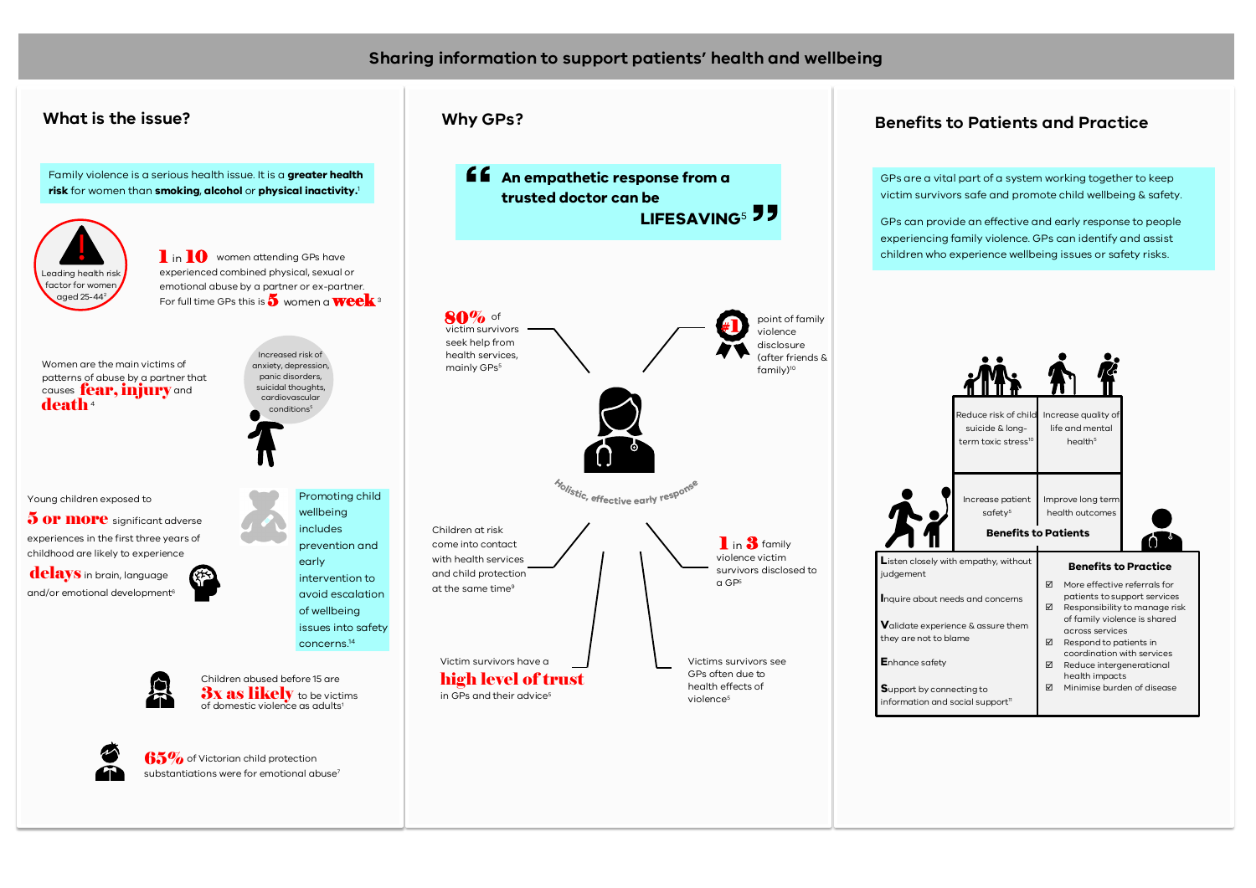## **Sharing information to support patients' health and wellbeing**